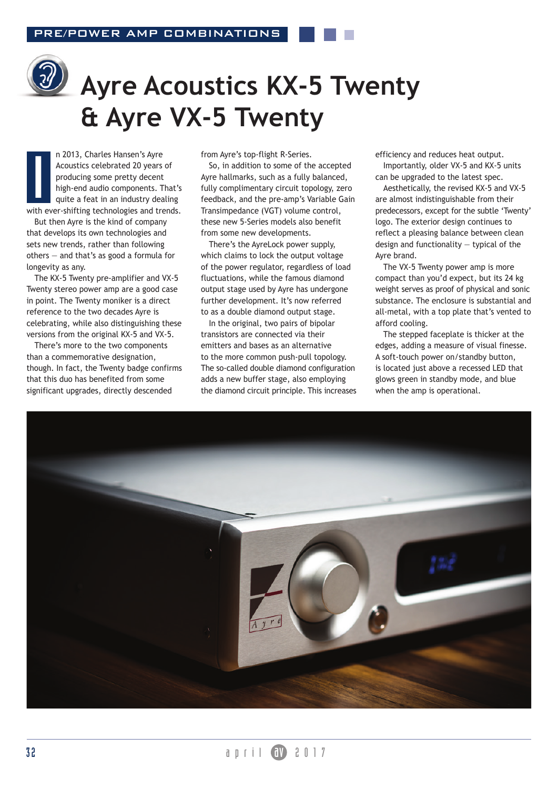

# **Ayre Acoustics KX-5 Twenty & Ayre VX-5 Twenty**

n 2013, Charles Hansen's Ayre Acoustics celebrated 20 years of producing some pretty decent high-end audio components. That's quite a feat in an industry dealing with ever-shifting technologies and trends. I<br>I<br>Ith

But then Ayre is the kind of company that develops its own technologies and sets new trends, rather than following others — and that's as good a formula for longevity as any.

The KX-5 Twenty pre-amplifier and VX-5 Twenty stereo power amp are a good case in point. The Twenty moniker is a direct reference to the two decades Ayre is celebrating, while also distinguishing these versions from the original KX-5 and VX-5.

There's more to the two components than a commemorative designation, though. In fact, the Twenty badge confirms that this duo has benefited from some significant upgrades, directly descended

from Ayre's top-flight R-Series.

So, in addition to some of the accepted Ayre hallmarks, such as a fully balanced, fully complimentary circuit topology, zero feedback, and the pre-amp's Variable Gain Transimpedance (VGT) volume control, these new 5-Series models also benefit from some new developments.

There's the AyreLock power supply, which claims to lock the output voltage of the power regulator, regardless of load fluctuations, while the famous diamond output stage used by Ayre has undergone further development. It's now referred to as a double diamond output stage.

In the original, two pairs of bipolar transistors are connected via their emitters and bases as an alternative to the more common push-pull topology. The so-called double diamond configuration adds a new buffer stage, also employing the diamond circuit principle. This increases efficiency and reduces heat output. Importantly, older VX-5 and KX-5 units

can be upgraded to the latest spec.

Aesthetically, the revised KX-5 and VX-5 are almost indistinguishable from their predecessors, except for the subtle 'Twenty' logo. The exterior design continues to reflect a pleasing balance between clean design and functionality — typical of the Ayre brand.

The VX-5 Twenty power amp is more compact than you'd expect, but its 24 kg weight serves as proof of physical and sonic substance. The enclosure is substantial and all-metal, with a top plate that's vented to afford cooling.

The stepped faceplate is thicker at the edges, adding a measure of visual finesse. A soft-touch power on/standby button, is located just above a recessed LED that glows green in standby mode, and blue when the amp is operational.

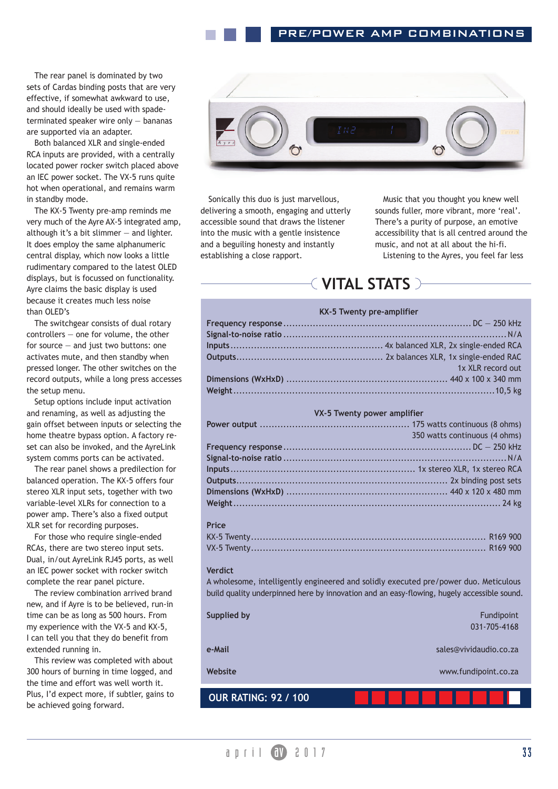The rear panel is dominated by two sets of Cardas binding posts that are very effective, if somewhat awkward to use, and should ideally be used with spadeterminated speaker wire only — bananas are supported via an adapter.

Both balanced XLR and single-ended RCA inputs are provided, with a centrally located power rocker switch placed above an IEC power socket. The VX-5 runs quite hot when operational, and remains warm in standby mode.

The KX-5 Twenty pre-amp reminds me very much of the Ayre AX-5 integrated amp, although it's a bit slimmer  $-$  and lighter. It does employ the same alphanumeric central display, which now looks a little rudimentary compared to the latest OLED displays, but is focussed on functionality. Ayre claims the basic display is used because it creates much less noise than OLED's

The switchgear consists of dual rotary controllers — one for volume, the other for source — and just two buttons: one activates mute, and then standby when pressed longer. The other switches on the record outputs, while a long press accesses the setup menu.

Setup options include input activation and renaming, as well as adjusting the gain offset between inputs or selecting the home theatre bypass option. A factory reset can also be invoked, and the AyreLink system comms ports can be activated.

The rear panel shows a predilection for balanced operation. The KX-5 offers four stereo XLR input sets, together with two variable-level XLRs for connection to a power amp. There's also a fixed output XLR set for recording purposes.

For those who require single-ended RCAs, there are two stereo input sets. Dual, in/out AyreLink RJ45 ports, as well an IEC power socket with rocker switch complete the rear panel picture.

The review combination arrived brand new, and if Ayre is to be believed, run-in time can be as long as 500 hours. From my experience with the VX-5 and KX-5, I can tell you that they do benefit from extended running in.

This review was completed with about 300 hours of burning in time logged, and the time and effort was well worth it. Plus, I'd expect more, if subtler, gains to be achieved going forward.



Sonically this duo is just marvellous, delivering a smooth, engaging and utterly accessible sound that draws the listener into the music with a gentle insistence and a beguiling honesty and instantly establishing a close rapport.

Music that you thought you knew well sounds fuller, more vibrant, more 'real'. There's a purity of purpose, an emotive accessibility that is all centred around the music, and not at all about the hi-fi.

Listening to the Ayres, you feel far less

### **VITAL STATS**

#### **KX-5 Twenty pre-amplifier**

| 1x XLR record out |
|-------------------|
|                   |
|                   |

#### **VX-5 Twenty power amplifier**

| 350 watts continuous (4 ohms) |
|-------------------------------|
|                               |
|                               |
|                               |
|                               |
|                               |
|                               |

#### **Price**

#### **Verdict**

A wholesome, intelligently engineered and solidly executed pre/power duo. Meticulous build quality underpinned here by innovation and an easy-flowing, hugely accessible sound.

| Supplied by                 | Fundipoint<br>031-705-4168 |
|-----------------------------|----------------------------|
| e-Mail                      | sales@vividaudio.co.za     |
| Website                     | www.fundipoint.co.za       |
| <b>OUR RATING: 92 / 100</b> |                            |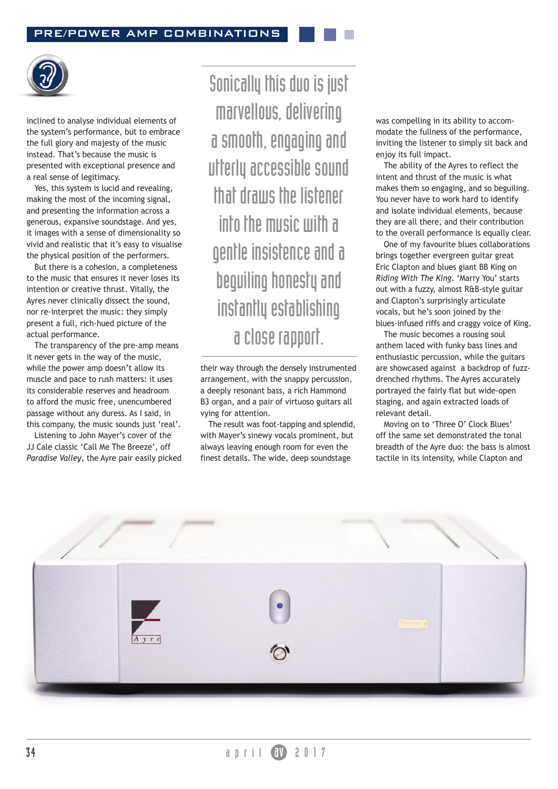

inclined to analyse individual elements of the system's performance, but to embrace the full glory and majesty of the music instead. That's because the music is presented with exceptional presence and a real sense of legitimacy.

Yes, this system is lucid and revealing, making the most of the incoming signal, and presenting the information across a generous, expansive soundstage. And yes, it images with a sense of dimensionality so vivid and realistic that it's easy to visualise the physical position of the performers.

But there is a cohesion, a completeness to the music that ensures it never loses its intention or creative thrust. Vitally, the Ayres never clinically dissect the sound, nor re-interpret the music: they simply present a full, rich-hued picture of the actual performance.

The transparency of the pre-amp means it never gets in the way of the music, while the power amp doesn't allow its muscle and pace to rush matters: it uses its considerable reserves and headroom to afford the music free, unencumbered passage without any duress. As I said, in this company, the music sounds just 'real'.

Listening to John Mayer's cover of the JJ Cale classic 'Call Me The Breeze', off *Paradise Valley*, the Ayre pair easily picked

Sonically this duo is just marvellous, delivering a smooth, engaging and utterly accessible sound that draws the listener into the music with a gentle insistence and a beguiling honesty and instantly establishing a close rapport.

their way through the densely instrumented arrangement, with the snappy percussion, a deeply resonant bass, a rich Hammond B3 organ, and a pair of virtuoso guitars all vying for attention.

The result was foot-tapping and splendid, with Mayer's sinewy vocals prominent, but always leaving enough room for even the finest details. The wide, deep soundstage

was compelling in its ability to accommodate the fullness of the performance, inviting the listener to simply sit back and enjoy its full impact.

The ability of the Ayres to reflect the intent and thrust of the music is what makes them so engaging, and so beguiling. You never have to work hard to identify and isolate individual elements, because they are all there, and their contribution to the overall performance is equally clear.

One of my favourite blues collaborations brings together evergreen guitar great Eric Clapton and blues giant BB King on *Riding With The King*. 'Marry You' starts out with a fuzzy, almost R&B-style guitar and Clapton's surprisingly articulate vocals, but he's soon joined by the blues-infused riffs and craggy voice of King.

The music becomes a rousing soul anthem laced with funky bass lines and enthusiastic percussion, while the guitars are showcased against a backdrop of fuzzdrenched rhythms. The Ayres accurately portrayed the fairly flat but wide-open staging, and again extracted loads of relevant detail.

Moving on to 'Three O' Clock Blues' off the same set demonstrated the tonal breadth of the Ayre duo: the bass is almost tactile in its intensity, while Clapton and